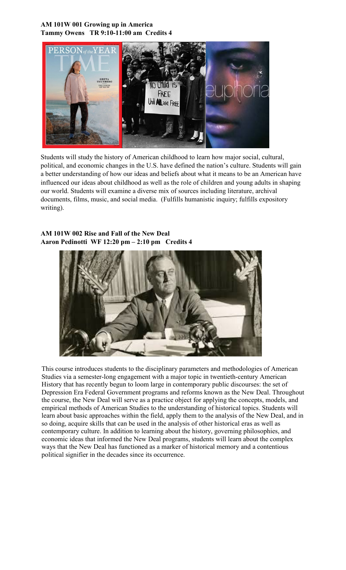#### **AM 101W 001 Growing up in America Tammy Owens TR 9:10-11:00 am Credits 4**



Students will study the history of American childhood to learn how major social, cultural, political, and economic changes in the U.S. have defined the nation's culture. Students will gain a better understanding of how our ideas and beliefs about what it means to be an American have influenced our ideas about childhood as well as the role of children and young adults in shaping our world. Students will examine a diverse mix of sources including literature, archival documents, films, music, and social media. (Fulfills humanistic inquiry; fulfills expository writing).

## **AM 101W 002 Rise and Fall of the New Deal Aaron Pedinotti WF 12:20 pm – 2:10 pm Credits 4**



This course introduces students to the disciplinary parameters and methodologies of American Studies via a semester-long engagement with a major topic in twentieth-century American History that has recently begun to loom large in contemporary public discourses: the set of Depression Era Federal Government programs and reforms known as the New Deal. Throughout the course, the New Deal will serve as a practice object for applying the concepts, models, and empirical methods of American Studies to the understanding of historical topics. Students will learn about basic approaches within the field, apply them to the analysis of the New Deal, and in so doing, acquire skills that can be used in the analysis of other historical eras as well as contemporary culture. In addition to learning about the history, governing philosophies, and economic ideas that informed the New Deal programs, students will learn about the complex ways that the New Deal has functioned as a marker of historical memory and a contentious political signifier in the decades since its occurrence.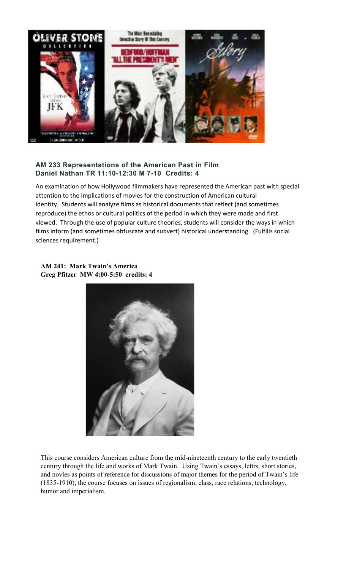

# **AM 233 Representations of the American Past in Film Daniel Nathan TR 11:10-12:30 M 7-10 Credits: 4**

An examination of how Hollywood filmmakers have represented the American past with special attention to the implications of movies for the construction of American cultural identity. Students will analyze films as historical documents that reflect (and sometimes reproduce) the ethos or cultural politics of the period in which they were made and first viewed. Through the use of popular culture theories, students will consider the ways in which films inform (and sometimes obfuscate and subvert) historical understanding. (Fulfills social sciences requirement.)

#### **AM 241: Mark Twain's America Greg Pfitzer MW 4:00-5:50 credits: 4**



This course considers American culture from the mid-nineteenth century to the early twentieth century through the life and works of Mark Twain. Using Twain's essays, lettrs, short stories, and novles as points of reference for discussions of major themes for the period of Twain's life (1835-1910), the course focuses on issues of regionalism, class, race relations, technology, humor and imperialism.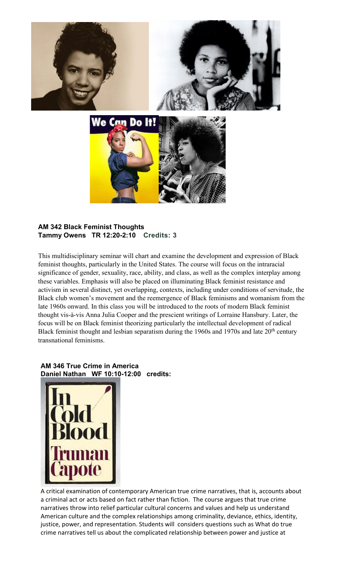

## **AM 342 Black Feminist Thoughts Tammy Owens TR 12:20-2:10 Credits: 3**

This multidisciplinary seminar will chart and examine the development and expression of Black feminist thoughts, particularly in the United States. The course will focus on the intraracial significance of gender, sexuality, race, ability, and class, as well as the complex interplay among these variables. Emphasis will also be placed on illuminating Black feminist resistance and activism in several distinct, yet overlapping, contexts, including under conditions of servitude, the Black club women's movement and the reemergence of Black feminisms and womanism from the late 1960s onward. In this class you will be introduced to the roots of modern Black feminist thought vis-à-vis Anna Julia Cooper and the prescient writings of Lorraine Hansbury. Later, the focus will be on Black feminist theorizing particularly the intellectual development of radical Black feminist thought and lesbian separatism during the 1960s and 1970s and late 20<sup>th</sup> century transnational feminisms.

# **AM 346 True Crime in America Daniel Nathan WF 10:10-12:00 credits:**



A critical examination of contemporary American true crime narratives, that is, accounts about a criminal act or acts based on fact rather than fiction. The course argues that true crime narratives throw into relief particular cultural concerns and values and help us understand American culture and the complex relationships among criminality, deviance, ethics, identity, justice, power, and representation. Students will considers questions such as What do true crime narratives tell us about the complicated relationship between power and justice at